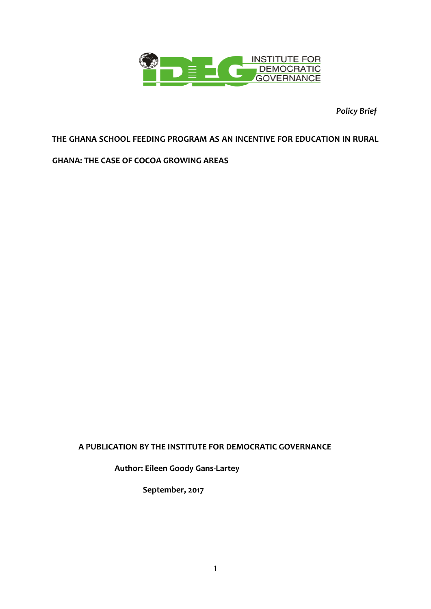

*Policy Brief*

# **THE GHANA SCHOOL FEEDING PROGRAM AS AN INCENTIVE FOR EDUCATION IN RURAL**

# **GHANA: THE CASE OF COCOA GROWING AREAS**

# **A PUBLICATION BY THE INSTITUTE FOR DEMOCRATIC GOVERNANCE**

 **Author: Eileen Goody Gans-Lartey**

 **September, 2017**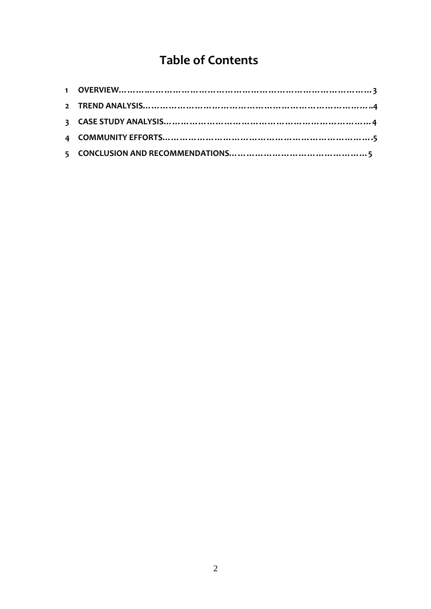# **Table of Contents**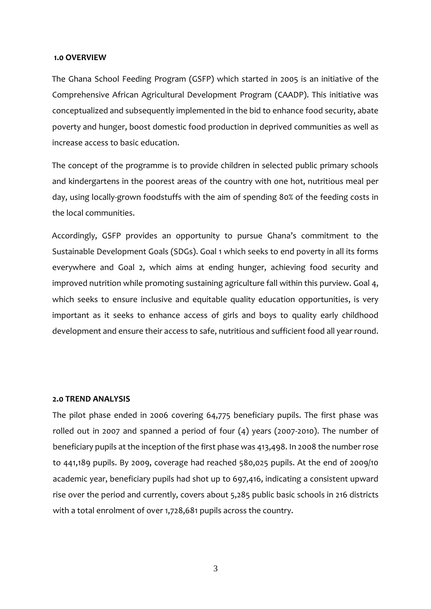#### **1.0 OVERVIEW**

The Ghana School Feeding Program (GSFP) which started in 2005 is an initiative of the Comprehensive African Agricultural Development Program (CAADP). This initiative was conceptualized and subsequently implemented in the bid to enhance food security, abate poverty and hunger, boost domestic food production in deprived communities as well as increase access to basic education.

The concept of the programme is to provide children in selected public primary schools and kindergartens in the poorest areas of the country with one hot, nutritious meal per day, using locally-grown foodstuffs with the aim of spending 80% of the feeding costs in the local communities.

Accordingly, GSFP provides an opportunity to pursue Ghana's commitment to the Sustainable Development Goals (SDGs). Goal 1 which seeks to end poverty in all its forms everywhere and Goal 2, which aims at ending hunger, achieving food security and improved nutrition while promoting sustaining agriculture fall within this purview. Goal 4, which seeks to ensure inclusive and equitable quality education opportunities, is very important as it seeks to enhance access of girls and boys to quality early childhood development and ensure their access to safe, nutritious and sufficient food all year round.

## **2.0 TREND ANALYSIS**

The pilot phase ended in 2006 covering 64,775 beneficiary pupils. The first phase was rolled out in 2007 and spanned a period of four (4) years (2007-2010). The number of beneficiary pupils at the inception of the first phase was 413,498. In 2008 the number rose to 441,189 pupils. By 2009, coverage had reached 580,025 pupils. At the end of 2009/10 academic year, beneficiary pupils had shot up to 697,416, indicating a consistent upward rise over the period and currently, covers about 5,285 public basic schools in 216 districts with a total enrolment of over 1,728,681 pupils across the country.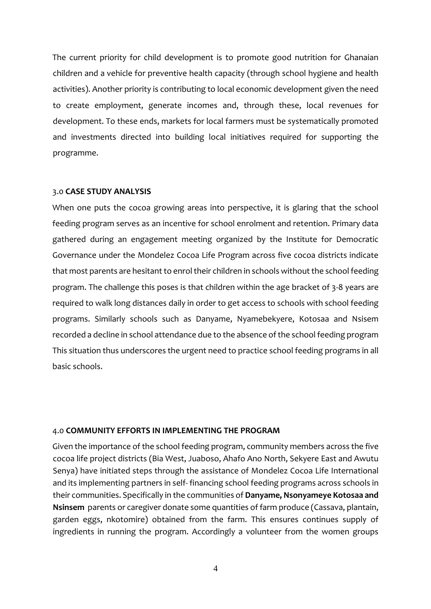The current priority for child development is to promote good nutrition for Ghanaian children and a vehicle for preventive health capacity (through school hygiene and health activities). Another priority is contributing to local economic development given the need to create employment, generate incomes and, through these, local revenues for development. To these ends, markets for local farmers must be systematically promoted and investments directed into building local initiatives required for supporting the programme.

### 3.0 **CASE STUDY ANALYSIS**

When one puts the cocoa growing areas into perspective, it is glaring that the school feeding program serves as an incentive for school enrolment and retention. Primary data gathered during an engagement meeting organized by the Institute for Democratic Governance under the Mondelez Cocoa Life Program across five cocoa districts indicate that most parents are hesitant to enrol their children in schools without the school feeding program. The challenge this poses is that children within the age bracket of 3-8 years are required to walk long distances daily in order to get access to schools with school feeding programs. Similarly schools such as Danyame, Nyamebekyere, Kotosaa and Nsisem recorded a decline in school attendance due to the absence of the school feeding program This situation thus underscores the urgent need to practice school feeding programs in all basic schools.

### 4.0 **COMMUNITY EFFORTS IN IMPLEMENTING THE PROGRAM**

Given the importance of the school feeding program, community members across the five cocoa life project districts (Bia West, Juaboso, Ahafo Ano North, Sekyere East and Awutu Senya) have initiated steps through the assistance of Mondelez Cocoa Life International and its implementing partners in self- financing school feeding programs across schools in their communities. Specifically in the communities of **Danyame, Nsonyameye Kotosaa and Nsinsem** parents or caregiver donate some quantities of farm produce (Cassava, plantain, garden eggs, nkotomire) obtained from the farm. This ensures continues supply of ingredients in running the program. Accordingly a volunteer from the women groups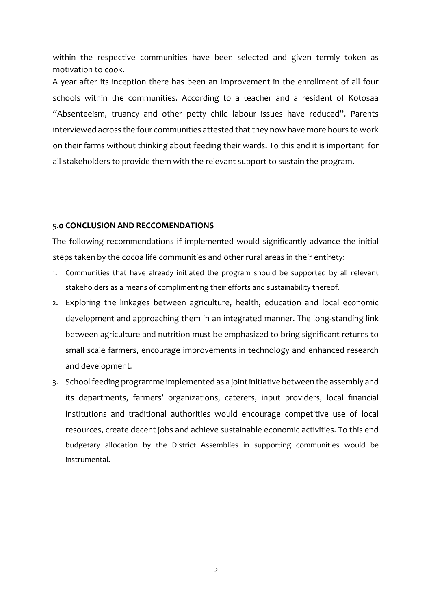within the respective communities have been selected and given termly token as motivation to cook.

A year after its inception there has been an improvement in the enrollment of all four schools within the communities. According to a teacher and a resident of Kotosaa "Absenteeism, truancy and other petty child labour issues have reduced". Parents interviewed across the four communities attested that they now have more hours to work on their farms without thinking about feeding their wards. To this end it is important for all stakeholders to provide them with the relevant support to sustain the program.

#### 5.**0 CONCLUSION AND RECCOMENDATIONS**

The following recommendations if implemented would significantly advance the initial steps taken by the cocoa life communities and other rural areas in their entirety:

- 1. Communities that have already initiated the program should be supported by all relevant stakeholders as a means of complimenting their efforts and sustainability thereof.
- 2. Exploring the linkages between agriculture, health, education and local economic development and approaching them in an integrated manner. The long-standing link between agriculture and nutrition must be emphasized to bring significant returns to small scale farmers, encourage improvements in technology and enhanced research and development.
- 3. School feeding programme implemented as a joint initiative between the assembly and its departments, farmers' organizations, caterers, input providers, local financial institutions and traditional authorities would encourage competitive use of local resources, create decent jobs and achieve sustainable economic activities. To this end budgetary allocation by the District Assemblies in supporting communities would be instrumental.